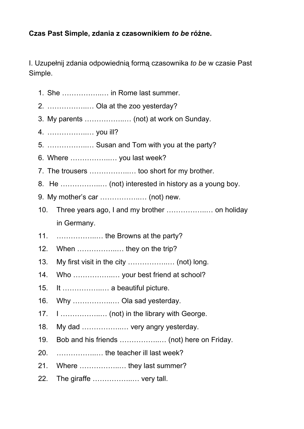## **Czas Past Simple, zdania z czasownikiem** *to be***różne.**

I. Uzupełnij zdania odpowiednią formą czasownika *to be* w czasie Past Simple.

- 1. She ……………..… in Rome last summer.
- 2. ……………..… Ola at the zoo yesterday?
- 3. My parents ……………..… (not) at work on Sunday.
- 4. ……………..… you ill?
- 5. ……………..… Susan and Tom with you at the party?
- 6. Where ……………..… you last week?
- 7. The trousers ……………..… too short for my brother.
- 8. He ……………..… (not) interested in history as a young boy.
- 9. My mother's car ……………..… (not) new.
- 10. Three years ago, I and my brother ……………..… on holiday in Germany.
- 11. ………………….. the Browns at the party?
- 12. When ......................... they on the trip?
- 13. My first visit in the city ……………..… (not) long.
- 14. Who ……………..… your best friend at school?
- 15. It ……………..… a beautiful picture.
- 16. Why ……………..… Ola sad yesterday.
- 17. I ……………..… (not) in the library with George.
- 18. My dad ……………..… very angry yesterday.
- 19. Bob and his friends ……………..… (not) here on Friday.
- 20. ……………..… the teacher ill last week?
- 21. Where ……………..… they last summer?
- 22. The giraffe ……………..… very tall.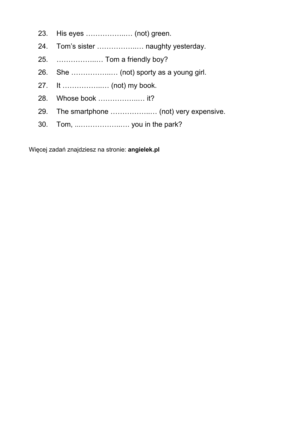- 23. His eyes ……………..… (not) green.
- 24. Tom's sister ……………..… naughty yesterday.
- 25. ……………..… Tom a friendly boy?
- 26. She ……………..… (not) sporty as a young girl.
- 27. It ……………..… (not) my book.
- 28. Whose book ……………..… it?
- 29. The smartphone ……………..… (not) very expensive.
- 30. Tom, ...……………..…. you in the park?

Więcej zadań znajdziesz na stronie: **angielek.pl**